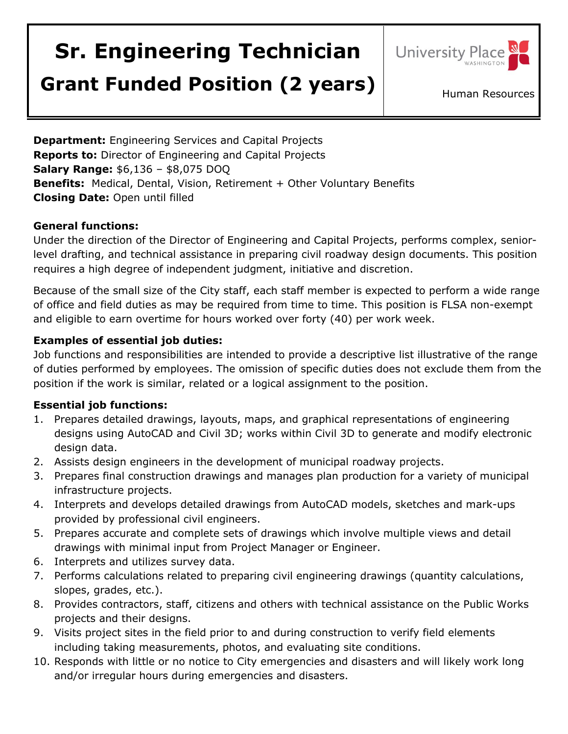# **Sr. Engineering Technician**



## **Grant Funded Position (2 years)** Human Resources

**Department:** Engineering Services and Capital Projects **Reports to:** Director of Engineering and Capital Projects **Salary Range:** \$6,136 – \$8,075 DOQ **Benefits:** Medical, Dental, Vision, Retirement + Other Voluntary Benefits **Closing Date:** Open until filled

#### **General functions:**

Under the direction of the Director of Engineering and Capital Projects, performs complex, seniorlevel drafting, and technical assistance in preparing civil roadway design documents. This position requires a high degree of independent judgment, initiative and discretion.

Because of the small size of the City staff, each staff member is expected to perform a wide range of office and field duties as may be required from time to time. This position is FLSA non-exempt and eligible to earn overtime for hours worked over forty (40) per work week.

#### **Examples of essential job duties:**

Job functions and responsibilities are intended to provide a descriptive list illustrative of the range of duties performed by employees. The omission of specific duties does not exclude them from the position if the work is similar, related or a logical assignment to the position.

#### **Essential job functions:**

- 1. Prepares detailed drawings, layouts, maps, and graphical representations of engineering designs using AutoCAD and Civil 3D; works within Civil 3D to generate and modify electronic design data.
- 2. Assists design engineers in the development of municipal roadway projects.
- 3. Prepares final construction drawings and manages plan production for a variety of municipal infrastructure projects.
- 4. Interprets and develops detailed drawings from AutoCAD models, sketches and mark-ups provided by professional civil engineers.
- 5. Prepares accurate and complete sets of drawings which involve multiple views and detail drawings with minimal input from Project Manager or Engineer.
- 6. Interprets and utilizes survey data.
- 7. Performs calculations related to preparing civil engineering drawings (quantity calculations, slopes, grades, etc.).
- 8. Provides contractors, staff, citizens and others with technical assistance on the Public Works projects and their designs.
- 9. Visits project sites in the field prior to and during construction to verify field elements including taking measurements, photos, and evaluating site conditions.
- 10. Responds with little or no notice to City emergencies and disasters and will likely work long and/or irregular hours during emergencies and disasters.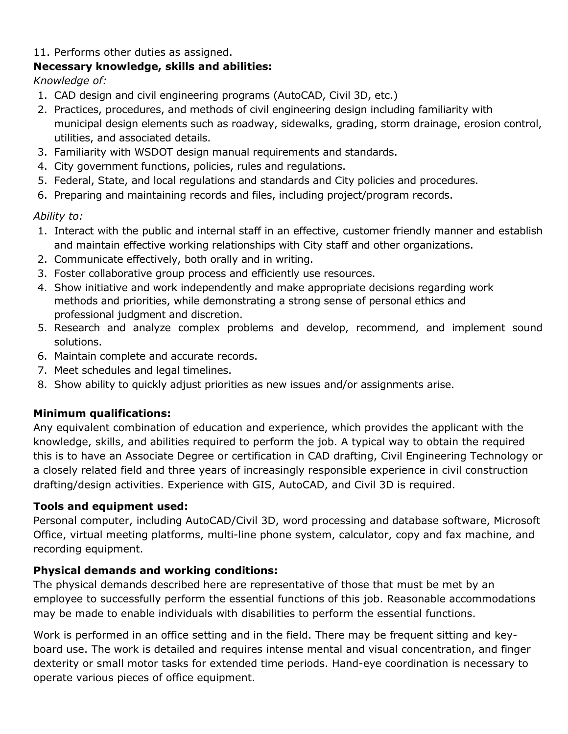#### 11. Performs other duties as assigned.

#### **Necessary knowledge, skills and abilities:**

*Knowledge of:*

- 1. CAD design and civil engineering programs (AutoCAD, Civil 3D, etc.)
- 2. Practices, procedures, and methods of civil engineering design including familiarity with municipal design elements such as roadway, sidewalks, grading, storm drainage, erosion control, utilities, and associated details.
- 3. Familiarity with WSDOT design manual requirements and standards.
- 4. City government functions, policies, rules and regulations.
- 5. Federal, State, and local regulations and standards and City policies and procedures.
- 6. Preparing and maintaining records and files, including project/program records.

#### *Ability to:*

- 1. Interact with the public and internal staff in an effective, customer friendly manner and establish and maintain effective working relationships with City staff and other organizations.
- 2. Communicate effectively, both orally and in writing.
- 3. Foster collaborative group process and efficiently use resources.
- 4. Show initiative and work independently and make appropriate decisions regarding work methods and priorities, while demonstrating a strong sense of personal ethics and professional judgment and discretion.
- 5. Research and analyze complex problems and develop, recommend, and implement sound solutions.
- 6. Maintain complete and accurate records.
- 7. Meet schedules and legal timelines.
- 8. Show ability to quickly adjust priorities as new issues and/or assignments arise.

### **Minimum qualifications:**

Any equivalent combination of education and experience, which provides the applicant with the knowledge, skills, and abilities required to perform the job. A typical way to obtain the required this is to have an Associate Degree or certification in CAD drafting, Civil Engineering Technology or a closely related field and three years of increasingly responsible experience in civil construction drafting/design activities. Experience with GIS, AutoCAD, and Civil 3D is required.

#### **Tools and equipment used:**

Personal computer, including AutoCAD/Civil 3D, word processing and database software, Microsoft Office, virtual meeting platforms, multi-line phone system, calculator, copy and fax machine, and recording equipment.

#### **Physical demands and working conditions:**

The physical demands described here are representative of those that must be met by an employee to successfully perform the essential functions of this job. Reasonable accommodations may be made to enable individuals with disabilities to perform the essential functions.

Work is performed in an office setting and in the field. There may be frequent sitting and keyboard use. The work is detailed and requires intense mental and visual concentration, and finger dexterity or small motor tasks for extended time periods. Hand-eye coordination is necessary to operate various pieces of office equipment.